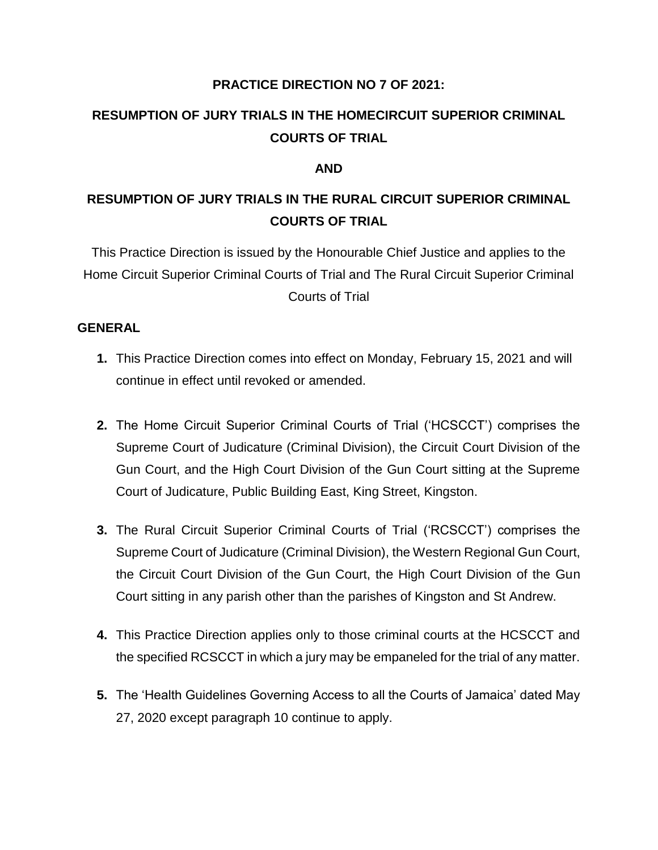#### **PRACTICE DIRECTION NO 7 OF 2021:**

# **RESUMPTION OF JURY TRIALS IN THE HOMECIRCUIT SUPERIOR CRIMINAL COURTS OF TRIAL**

#### **AND**

# **RESUMPTION OF JURY TRIALS IN THE RURAL CIRCUIT SUPERIOR CRIMINAL COURTS OF TRIAL**

This Practice Direction is issued by the Honourable Chief Justice and applies to the Home Circuit Superior Criminal Courts of Trial and The Rural Circuit Superior Criminal Courts of Trial

#### **GENERAL**

- **1.** This Practice Direction comes into effect on Monday, February 15, 2021 and will continue in effect until revoked or amended.
- **2.** The Home Circuit Superior Criminal Courts of Trial ('HCSCCT') comprises the Supreme Court of Judicature (Criminal Division), the Circuit Court Division of the Gun Court, and the High Court Division of the Gun Court sitting at the Supreme Court of Judicature, Public Building East, King Street, Kingston.
- **3.** The Rural Circuit Superior Criminal Courts of Trial ('RCSCCT') comprises the Supreme Court of Judicature (Criminal Division), the Western Regional Gun Court, the Circuit Court Division of the Gun Court, the High Court Division of the Gun Court sitting in any parish other than the parishes of Kingston and St Andrew.
- **4.** This Practice Direction applies only to those criminal courts at the HCSCCT and the specified RCSCCT in which a jury may be empaneled for the trial of any matter.
- **5.** The 'Health Guidelines Governing Access to all the Courts of Jamaica' dated May 27, 2020 except paragraph 10 continue to apply.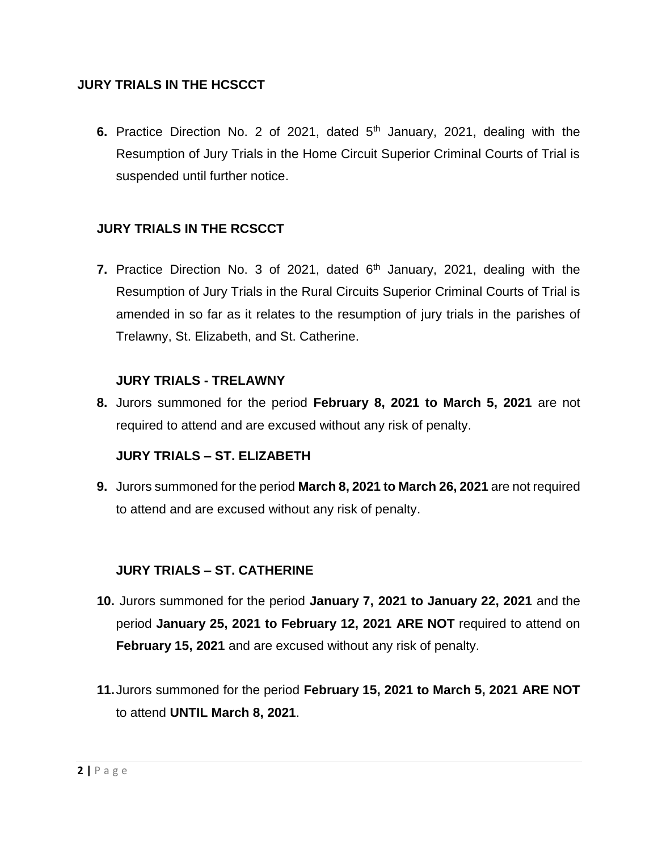## **JURY TRIALS IN THE HCSCCT**

**6.** Practice Direction No. 2 of 2021, dated 5<sup>th</sup> January, 2021, dealing with the Resumption of Jury Trials in the Home Circuit Superior Criminal Courts of Trial is suspended until further notice.

## **JURY TRIALS IN THE RCSCCT**

**7.** Practice Direction No. 3 of 2021, dated 6<sup>th</sup> January, 2021, dealing with the Resumption of Jury Trials in the Rural Circuits Superior Criminal Courts of Trial is amended in so far as it relates to the resumption of jury trials in the parishes of Trelawny, St. Elizabeth, and St. Catherine.

#### **JURY TRIALS - TRELAWNY**

**8.** Jurors summoned for the period **February 8, 2021 to March 5, 2021** are not required to attend and are excused without any risk of penalty.

## **JURY TRIALS – ST. ELIZABETH**

**9.** Jurors summoned for the period **March 8, 2021 to March 26, 2021** are not required to attend and are excused without any risk of penalty.

## **JURY TRIALS – ST. CATHERINE**

- **10.** Jurors summoned for the period **January 7, 2021 to January 22, 2021** and the period **January 25, 2021 to February 12, 2021 ARE NOT** required to attend on **February 15, 2021** and are excused without any risk of penalty.
- **11.**Jurors summoned for the period **February 15, 2021 to March 5, 2021 ARE NOT** to attend **UNTIL March 8, 2021**.